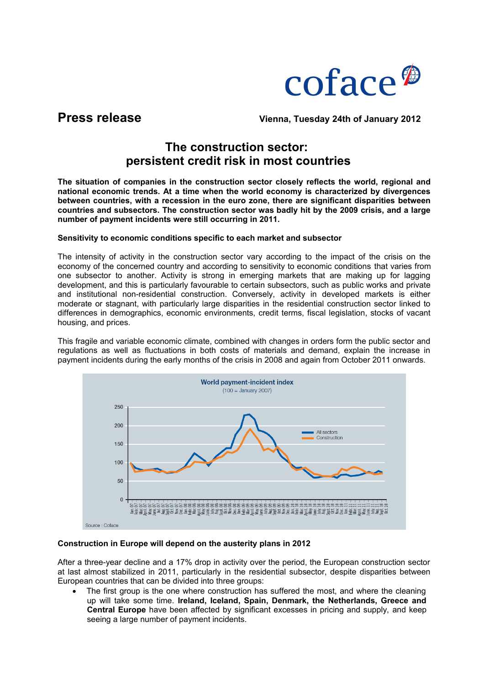

**Press release Vienna, Tuesday 24th of January 2012**

# **The construction sector: persistent credit risk in most countries**

**The situation of companies in the construction sector closely reflects the world, regional and national economic trends. At a time when the world economy is characterized by divergences between countries, with a recession in the euro zone, there are significant disparities between countries and subsectors. The construction sector was badly hit by the 2009 crisis, and a large number of payment incidents were still occurring in 2011.**

## **Sensitivity to economic conditions specific to each market and subsector**

The intensity of activity in the construction sector vary according to the impact of the crisis on the economy of the concerned country and according to sensitivity to economic conditions that varies from one subsector to another. Activity is strong in emerging markets that are making up for lagging development, and this is particularly favourable to certain subsectors, such as public works and private and institutional non-residential construction. Conversely, activity in developed markets is either moderate or stagnant, with particularly large disparities in the residential construction sector linked to differences in demographics, economic environments, credit terms, fiscal legislation, stocks of vacant housing, and prices.

This fragile and variable economic climate, combined with changes in orders form the public sector and regulations as well as fluctuations in both costs of materials and demand, explain the increase in payment incidents during the early months of the crisis in 2008 and again from October 2011 onwards.



## **Construction in Europe will depend on the austerity plans in 2012**

After a three-year decline and a 17% drop in activity over the period, the European construction sector at last almost stabilized in 2011, particularly in the residential subsector, despite disparities between European countries that can be divided into three groups:

 The first group is the one where construction has suffered the most, and where the cleaning up will take some time. **Ireland, Iceland, Spain, Denmark, the Netherlands, Greece and Central Europe** have been affected by significant excesses in pricing and supply, and keep seeing a large number of payment incidents.